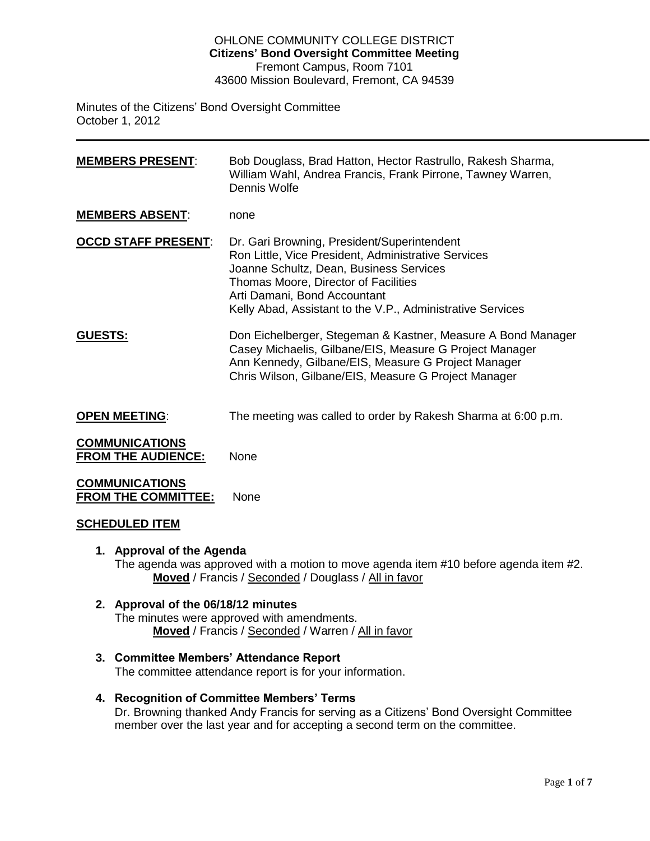#### OHLONE COMMUNITY COLLEGE DISTRICT **Citizens' Bond Oversight Committee Meeting** Fremont Campus, Room 7101 43600 Mission Boulevard, Fremont, CA 94539

Minutes of the Citizens' Bond Oversight Committee October 1, 2012

**MEMBERS PRESENT**: Bob Douglass, Brad Hatton, Hector Rastrullo, Rakesh Sharma, William Wahl, Andrea Francis, Frank Pirrone, Tawney Warren, Dennis Wolfe **MEMBERS ABSENT**: none **OCCD STAFF PRESENT**: Dr. Gari Browning, President/Superintendent Ron Little, Vice President, Administrative Services Joanne Schultz, Dean, Business Services Thomas Moore, Director of Facilities Arti Damani, Bond Accountant Kelly Abad, Assistant to the V.P., Administrative Services **GUESTS:** Don Eichelberger, Stegeman & Kastner, Measure A Bond Manager Casey Michaelis, Gilbane/EIS, Measure G Project Manager Ann Kennedy, Gilbane/EIS, Measure G Project Manager Chris Wilson, Gilbane/EIS, Measure G Project Manager **OPEN MEETING:** The meeting was called to order by Rakesh Sharma at 6:00 p.m. **COMMUNICATIONS FROM THE AUDIENCE:** None **COMMUNICATIONS FROM THE COMMITTEE:** None

#### **SCHEDULED ITEM**

## **1. Approval of the Agenda**

The agenda was approved with a motion to move agenda item #10 before agenda item #2. **Moved** / Francis / Seconded / Douglass / All in favor

## **2. Approval of the 06/18/12 minutes**

The minutes were approved with amendments. **Moved** / Francis / Seconded / Warren / All in favor

## **3. Committee Members' Attendance Report**

The committee attendance report is for your information.

#### **4. Recognition of Committee Members' Terms**

Dr. Browning thanked Andy Francis for serving as a Citizens' Bond Oversight Committee member over the last year and for accepting a second term on the committee.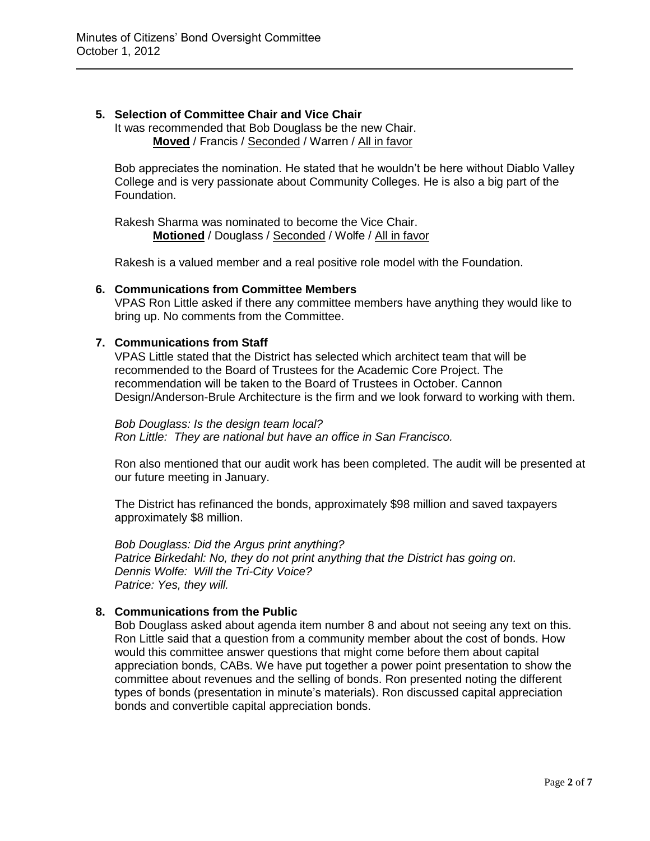## **5. Selection of Committee Chair and Vice Chair**

It was recommended that Bob Douglass be the new Chair. **Moved** / Francis / Seconded / Warren / All in favor

Bob appreciates the nomination. He stated that he wouldn't be here without Diablo Valley College and is very passionate about Community Colleges. He is also a big part of the Foundation.

Rakesh Sharma was nominated to become the Vice Chair. **Motioned** / Douglass / Seconded / Wolfe / All in favor

Rakesh is a valued member and a real positive role model with the Foundation.

## **6. Communications from Committee Members**

VPAS Ron Little asked if there any committee members have anything they would like to bring up. No comments from the Committee.

## **7. Communications from Staff**

VPAS Little stated that the District has selected which architect team that will be recommended to the Board of Trustees for the Academic Core Project. The recommendation will be taken to the Board of Trustees in October. Cannon Design/Anderson-Brule Architecture is the firm and we look forward to working with them.

#### *Bob Douglass: Is the design team local?*

*Ron Little: They are national but have an office in San Francisco.* 

Ron also mentioned that our audit work has been completed. The audit will be presented at our future meeting in January.

The District has refinanced the bonds, approximately \$98 million and saved taxpayers approximately \$8 million.

*Bob Douglass: Did the Argus print anything? Patrice Birkedahl: No, they do not print anything that the District has going on. Dennis Wolfe: Will the Tri-City Voice? Patrice: Yes, they will.* 

## **8. Communications from the Public**

Bob Douglass asked about agenda item number 8 and about not seeing any text on this. Ron Little said that a question from a community member about the cost of bonds. How would this committee answer questions that might come before them about capital appreciation bonds, CABs. We have put together a power point presentation to show the committee about revenues and the selling of bonds. Ron presented noting the different types of bonds (presentation in minute's materials). Ron discussed capital appreciation bonds and convertible capital appreciation bonds.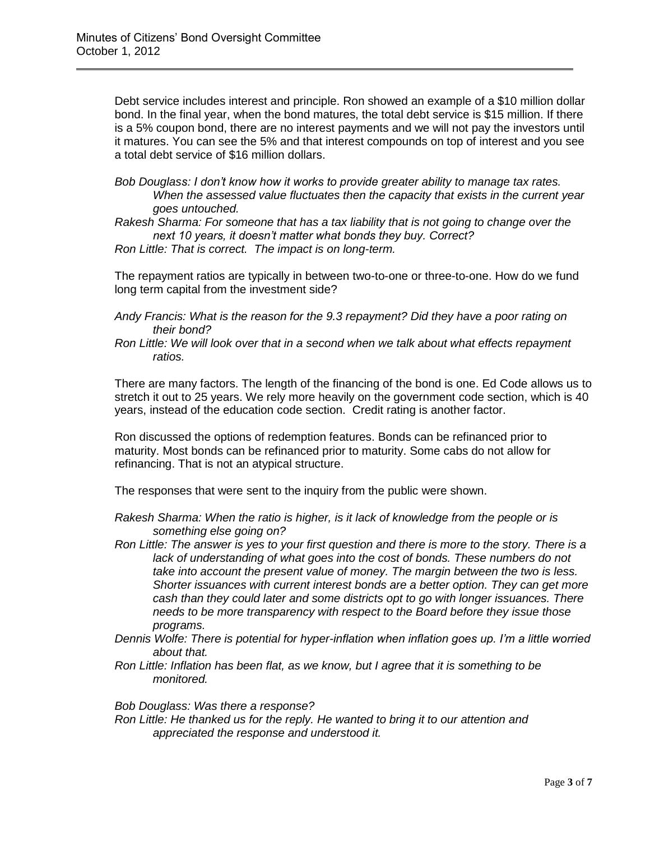Debt service includes interest and principle. Ron showed an example of a \$10 million dollar bond. In the final year, when the bond matures, the total debt service is \$15 million. If there is a 5% coupon bond, there are no interest payments and we will not pay the investors until it matures. You can see the 5% and that interest compounds on top of interest and you see a total debt service of \$16 million dollars.

*Bob Douglass: I don't know how it works to provide greater ability to manage tax rates. When the assessed value fluctuates then the capacity that exists in the current year goes untouched.* 

*Rakesh Sharma: For someone that has a tax liability that is not going to change over the next 10 years, it doesn't matter what bonds they buy. Correct?* 

*Ron Little: That is correct. The impact is on long-term.*

The repayment ratios are typically in between two-to-one or three-to-one. How do we fund long term capital from the investment side?

- *Andy Francis: What is the reason for the 9.3 repayment? Did they have a poor rating on their bond?*
- *Ron Little: We will look over that in a second when we talk about what effects repayment ratios.*

There are many factors. The length of the financing of the bond is one. Ed Code allows us to stretch it out to 25 years. We rely more heavily on the government code section, which is 40 years, instead of the education code section. Credit rating is another factor.

Ron discussed the options of redemption features. Bonds can be refinanced prior to maturity. Most bonds can be refinanced prior to maturity. Some cabs do not allow for refinancing. That is not an atypical structure.

The responses that were sent to the inquiry from the public were shown.

- *Rakesh Sharma: When the ratio is higher, is it lack of knowledge from the people or is something else going on?*
- *Ron Little: The answer is yes to your first question and there is more to the story. There is a*  lack of understanding of what goes into the cost of bonds. These numbers do not *take into account the present value of money. The margin between the two is less. Shorter issuances with current interest bonds are a better option. They can get more cash than they could later and some districts opt to go with longer issuances. There needs to be more transparency with respect to the Board before they issue those programs.*
- *Dennis Wolfe: There is potential for hyper-inflation when inflation goes up. I'm a little worried about that.*
- *Ron Little: Inflation has been flat, as we know, but I agree that it is something to be monitored.*

*Bob Douglass: Was there a response?* 

*Ron Little: He thanked us for the reply. He wanted to bring it to our attention and appreciated the response and understood it.*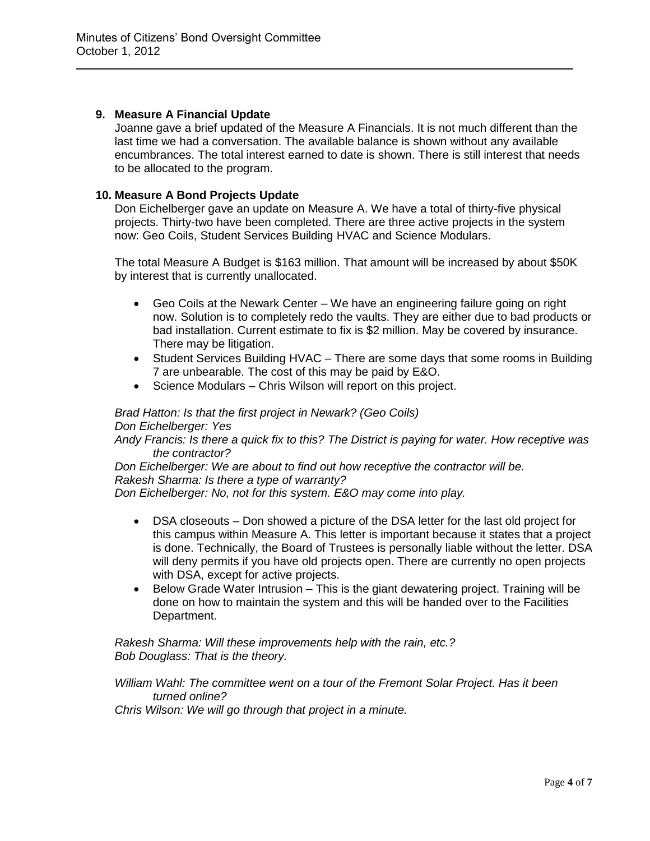## **9. Measure A Financial Update**

Joanne gave a brief updated of the Measure A Financials. It is not much different than the last time we had a conversation. The available balance is shown without any available encumbrances. The total interest earned to date is shown. There is still interest that needs to be allocated to the program.

## **10. Measure A Bond Projects Update**

Don Eichelberger gave an update on Measure A. We have a total of thirty-five physical projects. Thirty-two have been completed. There are three active projects in the system now: Geo Coils, Student Services Building HVAC and Science Modulars.

The total Measure A Budget is \$163 million. That amount will be increased by about \$50K by interest that is currently unallocated.

- Geo Coils at the Newark Center We have an engineering failure going on right now. Solution is to completely redo the vaults. They are either due to bad products or bad installation. Current estimate to fix is \$2 million. May be covered by insurance. There may be litigation.
- Student Services Building HVAC There are some days that some rooms in Building 7 are unbearable. The cost of this may be paid by E&O.
- Science Modulars Chris Wilson will report on this project.

# *Brad Hatton: Is that the first project in Newark? (Geo Coils)*

*Don Eichelberger: Yes*

*Andy Francis: Is there a quick fix to this? The District is paying for water. How receptive was the contractor?*

*Don Eichelberger: We are about to find out how receptive the contractor will be. Rakesh Sharma: Is there a type of warranty?* 

*Don Eichelberger: No, not for this system. E&O may come into play.* 

- DSA closeouts Don showed a picture of the DSA letter for the last old project for this campus within Measure A. This letter is important because it states that a project is done. Technically, the Board of Trustees is personally liable without the letter. DSA will deny permits if you have old projects open. There are currently no open projects with DSA, except for active projects.
- Below Grade Water Intrusion This is the giant dewatering project. Training will be done on how to maintain the system and this will be handed over to the Facilities Department.

*Rakesh Sharma: Will these improvements help with the rain, etc.? Bob Douglass: That is the theory.* 

*William Wahl: The committee went on a tour of the Fremont Solar Project. Has it been turned online?* 

*Chris Wilson: We will go through that project in a minute.*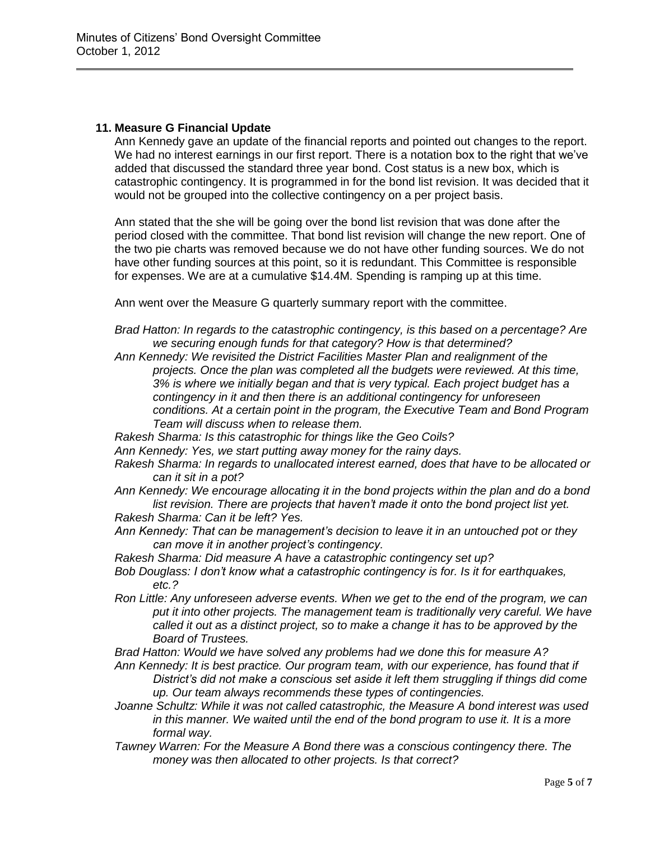## **11. Measure G Financial Update**

Ann Kennedy gave an update of the financial reports and pointed out changes to the report. We had no interest earnings in our first report. There is a notation box to the right that we've added that discussed the standard three year bond. Cost status is a new box, which is catastrophic contingency. It is programmed in for the bond list revision. It was decided that it would not be grouped into the collective contingency on a per project basis.

Ann stated that the she will be going over the bond list revision that was done after the period closed with the committee. That bond list revision will change the new report. One of the two pie charts was removed because we do not have other funding sources. We do not have other funding sources at this point, so it is redundant. This Committee is responsible for expenses. We are at a cumulative \$14.4M. Spending is ramping up at this time.

Ann went over the Measure G quarterly summary report with the committee.

*Brad Hatton: In regards to the catastrophic contingency, is this based on a percentage? Are we securing enough funds for that category? How is that determined?* 

- *Ann Kennedy: We revisited the District Facilities Master Plan and realignment of the projects. Once the plan was completed all the budgets were reviewed. At this time, 3% is where we initially began and that is very typical. Each project budget has a contingency in it and then there is an additional contingency for unforeseen conditions. At a certain point in the program, the Executive Team and Bond Program Team will discuss when to release them.*
- *Rakesh Sharma: Is this catastrophic for things like the Geo Coils?*
- *Ann Kennedy: Yes, we start putting away money for the rainy days.*
- *Rakesh Sharma: In regards to unallocated interest earned, does that have to be allocated or can it sit in a pot?*
- *Ann Kennedy: We encourage allocating it in the bond projects within the plan and do a bond*  list revision. There are projects that haven't made it onto the bond project list yet. *Rakesh Sharma: Can it be left? Yes.*
- *Ann Kennedy: That can be management's decision to leave it in an untouched pot or they can move it in another project's contingency.*
- *Rakesh Sharma: Did measure A have a catastrophic contingency set up?*
- *Bob Douglass: I don't know what a catastrophic contingency is for. Is it for earthquakes, etc.?*
- *Ron Little: Any unforeseen adverse events. When we get to the end of the program, we can put it into other projects. The management team is traditionally very careful. We have called it out as a distinct project, so to make a change it has to be approved by the Board of Trustees.*
- *Brad Hatton: Would we have solved any problems had we done this for measure A?*
- *Ann Kennedy: It is best practice. Our program team, with our experience, has found that if District's did not make a conscious set aside it left them struggling if things did come up. Our team always recommends these types of contingencies.*
- *Joanne Schultz: While it was not called catastrophic, the Measure A bond interest was used in this manner. We waited until the end of the bond program to use it. It is a more formal way.*
- *Tawney Warren: For the Measure A Bond there was a conscious contingency there. The money was then allocated to other projects. Is that correct?*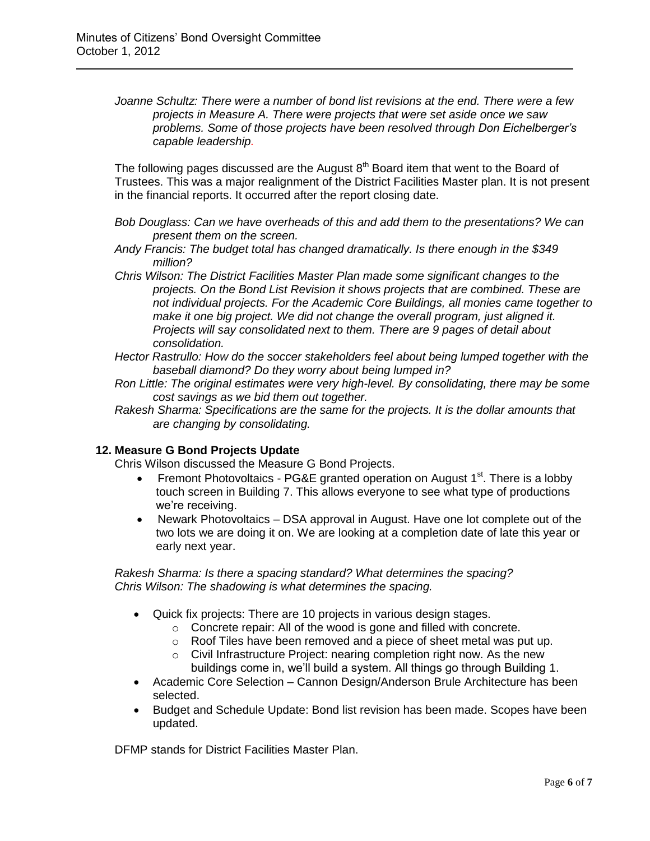*Joanne Schultz: There were a number of bond list revisions at the end. There were a few projects in Measure A. There were projects that were set aside once we saw problems. Some of those projects have been resolved through Don Eichelberger's capable leadership.* 

The following pages discussed are the August  $8<sup>th</sup>$  Board item that went to the Board of Trustees. This was a major realignment of the District Facilities Master plan. It is not present in the financial reports. It occurred after the report closing date.

*Bob Douglass: Can we have overheads of this and add them to the presentations? We can present them on the screen.* 

*Andy Francis: The budget total has changed dramatically. Is there enough in the \$349 million?* 

*Chris Wilson: The District Facilities Master Plan made some significant changes to the projects. On the Bond List Revision it shows projects that are combined. These are not individual projects. For the Academic Core Buildings, all monies came together to make it one big project. We did not change the overall program, just aligned it. Projects will say consolidated next to them. There are 9 pages of detail about consolidation.*

*Hector Rastrullo: How do the soccer stakeholders feel about being lumped together with the baseball diamond? Do they worry about being lumped in?* 

*Ron Little: The original estimates were very high-level. By consolidating, there may be some cost savings as we bid them out together.* 

*Rakesh Sharma: Specifications are the same for the projects. It is the dollar amounts that are changing by consolidating.* 

## **12. Measure G Bond Projects Update**

Chris Wilson discussed the Measure G Bond Projects.

- Fremont Photovoltaics PG&E granted operation on August 1<sup>st</sup>. There is a lobby touch screen in Building 7. This allows everyone to see what type of productions we're receiving.
- Newark Photovoltaics DSA approval in August. Have one lot complete out of the two lots we are doing it on. We are looking at a completion date of late this year or early next year.

*Rakesh Sharma: Is there a spacing standard? What determines the spacing? Chris Wilson: The shadowing is what determines the spacing.* 

- Quick fix projects: There are 10 projects in various design stages.
	- o Concrete repair: All of the wood is gone and filled with concrete.
	- o Roof Tiles have been removed and a piece of sheet metal was put up.
	- o Civil Infrastructure Project: nearing completion right now. As the new
		- buildings come in, we'll build a system. All things go through Building 1.
- Academic Core Selection Cannon Design/Anderson Brule Architecture has been selected.
- Budget and Schedule Update: Bond list revision has been made. Scopes have been updated.

DFMP stands for District Facilities Master Plan.